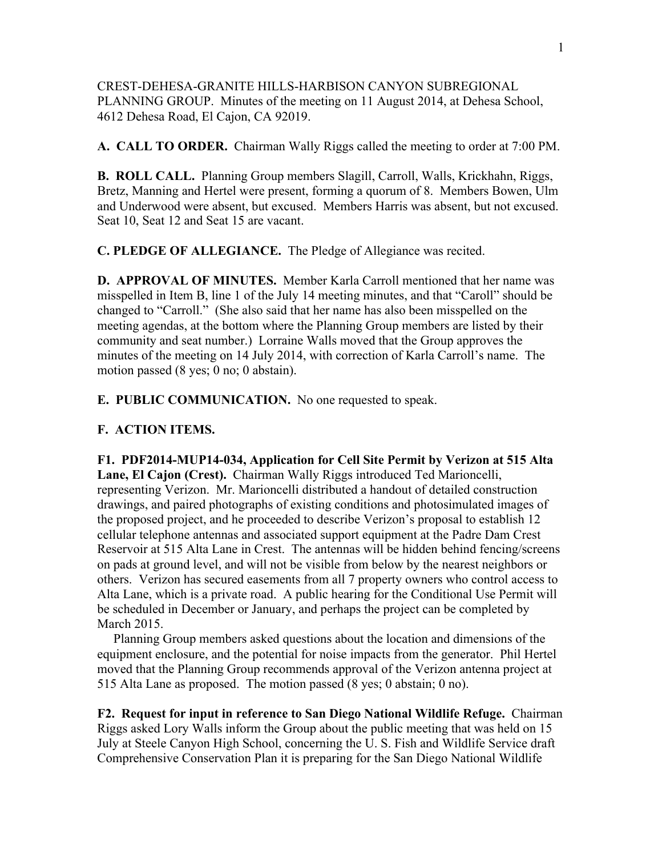CREST-DEHESA-GRANITE HILLS-HARBISON CANYON SUBREGIONAL PLANNING GROUP. Minutes of the meeting on 11 August 2014, at Dehesa School, 4612 Dehesa Road, El Cajon, CA 92019.

**A. CALL TO ORDER.** Chairman Wally Riggs called the meeting to order at 7:00 PM.

**B. ROLL CALL.** Planning Group members Slagill, Carroll, Walls, Krickhahn, Riggs, Bretz, Manning and Hertel were present, forming a quorum of 8. Members Bowen, Ulm and Underwood were absent, but excused. Members Harris was absent, but not excused. Seat 10, Seat 12 and Seat 15 are vacant.

**C. PLEDGE OF ALLEGIANCE.** The Pledge of Allegiance was recited.

**D. APPROVAL OF MINUTES.** Member Karla Carroll mentioned that her name was misspelled in Item B, line 1 of the July 14 meeting minutes, and that "Caroll" should be changed to "Carroll." (She also said that her name has also been misspelled on the meeting agendas, at the bottom where the Planning Group members are listed by their community and seat number.) Lorraine Walls moved that the Group approves the minutes of the meeting on 14 July 2014, with correction of Karla Carroll's name. The motion passed (8 yes; 0 no; 0 abstain).

**E. PUBLIC COMMUNICATION.** No one requested to speak.

## **F. ACTION ITEMS.**

**F1. PDF2014-MUP14-034, Application for Cell Site Permit by Verizon at 515 Alta Lane, El Cajon (Crest).** Chairman Wally Riggs introduced Ted Marioncelli, representing Verizon. Mr. Marioncelli distributed a handout of detailed construction drawings, and paired photographs of existing conditions and photosimulated images of the proposed project, and he proceeded to describe Verizon's proposal to establish 12 cellular telephone antennas and associated support equipment at the Padre Dam Crest Reservoir at 515 Alta Lane in Crest. The antennas will be hidden behind fencing/screens on pads at ground level, and will not be visible from below by the nearest neighbors or others. Verizon has secured easements from all 7 property owners who control access to Alta Lane, which is a private road. A public hearing for the Conditional Use Permit will be scheduled in December or January, and perhaps the project can be completed by March 2015.

 Planning Group members asked questions about the location and dimensions of the equipment enclosure, and the potential for noise impacts from the generator. Phil Hertel moved that the Planning Group recommends approval of the Verizon antenna project at 515 Alta Lane as proposed. The motion passed (8 yes; 0 abstain; 0 no).

**F2. Request for input in reference to San Diego National Wildlife Refuge.** Chairman Riggs asked Lory Walls inform the Group about the public meeting that was held on 15 July at Steele Canyon High School, concerning the U. S. Fish and Wildlife Service draft Comprehensive Conservation Plan it is preparing for the San Diego National Wildlife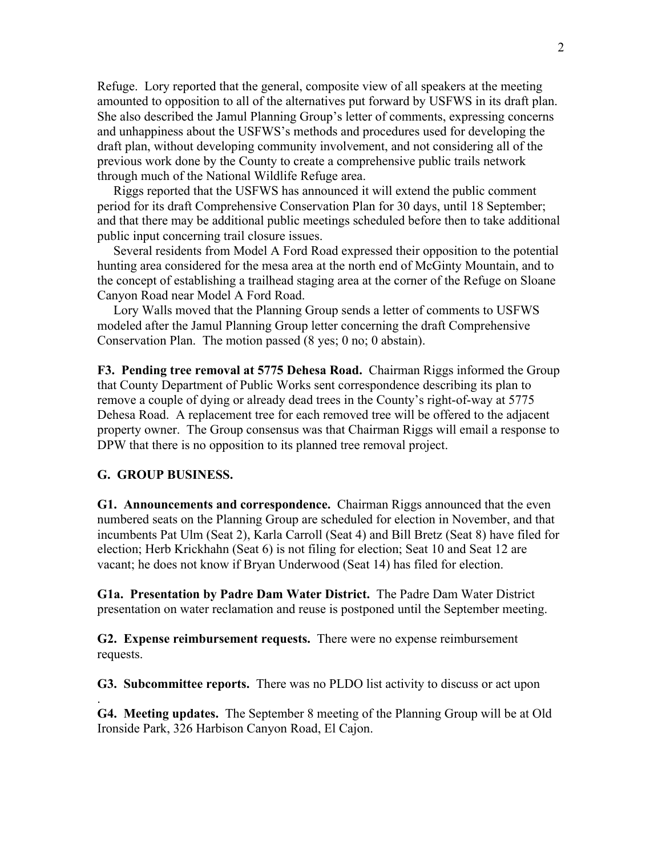Refuge. Lory reported that the general, composite view of all speakers at the meeting amounted to opposition to all of the alternatives put forward by USFWS in its draft plan. She also described the Jamul Planning Group's letter of comments, expressing concerns and unhappiness about the USFWS's methods and procedures used for developing the draft plan, without developing community involvement, and not considering all of the previous work done by the County to create a comprehensive public trails network through much of the National Wildlife Refuge area.

 Riggs reported that the USFWS has announced it will extend the public comment period for its draft Comprehensive Conservation Plan for 30 days, until 18 September; and that there may be additional public meetings scheduled before then to take additional public input concerning trail closure issues.

 Several residents from Model A Ford Road expressed their opposition to the potential hunting area considered for the mesa area at the north end of McGinty Mountain, and to the concept of establishing a trailhead staging area at the corner of the Refuge on Sloane Canyon Road near Model A Ford Road.

 Lory Walls moved that the Planning Group sends a letter of comments to USFWS modeled after the Jamul Planning Group letter concerning the draft Comprehensive Conservation Plan. The motion passed (8 yes; 0 no; 0 abstain).

**F3. Pending tree removal at 5775 Dehesa Road.** Chairman Riggs informed the Group that County Department of Public Works sent correspondence describing its plan to remove a couple of dying or already dead trees in the County's right-of-way at 5775 Dehesa Road. A replacement tree for each removed tree will be offered to the adjacent property owner. The Group consensus was that Chairman Riggs will email a response to DPW that there is no opposition to its planned tree removal project.

## **G. GROUP BUSINESS.**

.

**G1. Announcements and correspondence.** Chairman Riggs announced that the even numbered seats on the Planning Group are scheduled for election in November, and that incumbents Pat Ulm (Seat 2), Karla Carroll (Seat 4) and Bill Bretz (Seat 8) have filed for election; Herb Krickhahn (Seat 6) is not filing for election; Seat 10 and Seat 12 are vacant; he does not know if Bryan Underwood (Seat 14) has filed for election.

**G1a. Presentation by Padre Dam Water District.** The Padre Dam Water District presentation on water reclamation and reuse is postponed until the September meeting.

**G2. Expense reimbursement requests.** There were no expense reimbursement requests.

**G3. Subcommittee reports.** There was no PLDO list activity to discuss or act upon

**G4. Meeting updates.** The September 8 meeting of the Planning Group will be at Old Ironside Park, 326 Harbison Canyon Road, El Cajon.